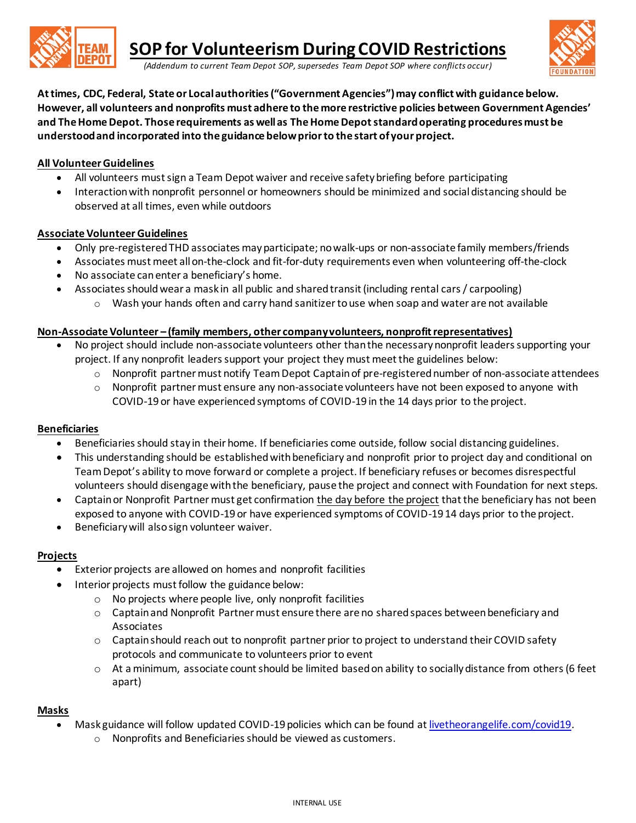

*(Addendum to current Team Depot SOP, supersedes Team Depot SOP where conflicts occur)*



**At times, CDC, Federal, State or Local authorities ("Government Agencies") may conflict with guidance below. However, all volunteers and nonprofits must adhere to the more restrictive policies between Government Agencies' and The HomeDepot. Those requirements as well as The Home Depotstandard operating proceduresmust be understood and incorporated into the guidance below prior to the start of your project.**

## **All Volunteer Guidelines**

- All volunteers must sign a Team Depot waiver and receive safety briefing before participating
- Interaction with nonprofit personnel or homeowners should be minimized and social distancing should be observed at all times, even while outdoors

## **Associate VolunteerGuidelines**

- Only pre-registeredTHD associates may participate; no walk-ups or non-associate family members/friends
- Associates must meet all on-the-clock and fit-for-duty requirements even when volunteering off-the-clock
- No associate can enter a beneficiary's home.
- Associates should wear a mask in all public and shared transit (including rental cars / carpooling)
	- $\circ$  Wash your hands often and carry hand sanitizer to use when soap and water are not available

## **Non-Associate Volunteer – (family members, other company volunteers, nonprofit representatives)**

- No project should include non-associate volunteers other than the necessary nonprofit leaders supporting your project. If any nonprofit leaders support your project they must meet the guidelines below:
	- o Nonprofit partner must notify Team Depot Captain of pre-registered number of non-associate attendees
	- $\circ$  Nonprofit partner must ensure any non-associate volunteers have not been exposed to anyone with COVID-19 or have experienced symptoms of COVID-19 in the 14 days prior to the project.

## **Beneficiaries**

- Beneficiaries should stay in their home. If beneficiaries come outside, follow social distancing guidelines.
- This understanding should be established with beneficiary and nonprofit prior to project day and conditional on Team Depot's ability to move forward or complete a project. If beneficiary refuses or becomes disrespectful volunteers should disengage with the beneficiary, pause the project and connect with Foundation for next steps.
- Captain or Nonprofit Partner must get confirmation the day before the project that the beneficiary has not been exposed to anyone with COVID-19 or have experienced symptoms of COVID-19 14 days prior to the project.
- Beneficiary will also sign volunteer waiver.

## **Projects**

- Exterior projects are allowed on homes and nonprofit facilities
- Interior projects must follow the guidance below:
	- o No projects where people live, only nonprofit facilities
	- o Captain and Nonprofit Partner must ensure there are no shared spaces between beneficiary and Associates
	- $\circ$  Captain should reach out to nonprofit partner prior to project to understand their COVID safety protocols and communicate to volunteers prior to event
	- o At a minimum, associate count should be limited based on ability to socially distance from others(6 feet apart)

## **Masks**

- Mask guidance will follow updated COVID-19 policies which can be found a[t livetheorangelife.com/covid19.](https://secure.livethehealthyorangelife.com/covid19)
	- o Nonprofits and Beneficiaries should be viewed as customers.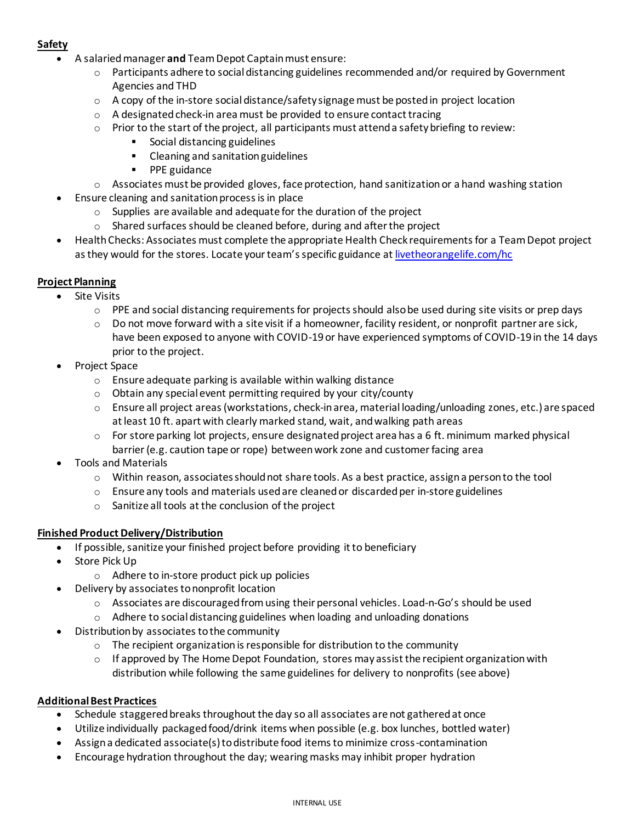# **Safety**

- A salaried manager **and** Team Depot Captain must ensure:
	- o Participants adhere to social distancing guidelines recommended and/or required by Government Agencies and THD
	- $\circ$  A copy of the in-store social distance/safety signage must be posted in project location
	- o A designated check-in area must be provided to ensure contact tracing
	- $\circ$  Prior to the start of the project, all participants must attend a safety briefing to review:
		- Social distancing guidelines
		- Cleaning and sanitation guidelines
		- PPE guidance
	- $\circ$  Associates must be provided gloves, face protection, hand sanitization or a hand washing station
- Ensure cleaning and sanitation process is in place
	- o Supplies are available and adequate for the duration of the project
	- o Shared surfaces should be cleaned before, during and after the project
- Health Checks: Associates must complete the appropriate Health Check requirements for a Team Depot project as they would for the stores. Locate your team's specific guidance at [livetheorangelife.com/hc](https://secure.livethehealthyorangelife.com/hc)

## **Project Planning**

- **Site Visits** 
	- $\circ$  PPE and social distancing requirements for projects should also be used during site visits or prep days
	- $\circ$  Do not move forward with a site visit if a homeowner, facility resident, or nonprofit partner are sick, have been exposed to anyone with COVID-19 or have experienced symptoms of COVID-19 in the 14 days prior to the project.
- Project Space
	- $\circ$  Ensure adequate parking is available within walking distance
	- o Obtain any special event permitting required by your city/county
	- o Ensure all project areas (workstations, check-inarea, material loading/unloading zones, etc.) are spaced at least 10 ft. apart with clearly marked stand, wait, and walking path areas
	- $\circ$  For store parking lot projects, ensure designated project area has a 6 ft. minimum marked physical barrier(e.g. caution tape or rope) between work zone and customer facing area
- Tools and Materials
	- $\circ$  Within reason, associates should not share tools. As a best practice, assign a person to the tool
	- $\circ$  Ensure any tools and materials used are cleaned or discarded per in-store guidelines
	- o Sanitize all tools at the conclusion of the project

## **Finished Product Delivery/Distribution**

- If possible, sanitize your finished project before providing it to beneficiary
- Store Pick Up
	- o Adhere to in-store product pick up policies
- Delivery by associates to nonprofit location
	- $\circ$  Associates are discouraged from using their personal vehicles. Load-n-Go's should be used
	- o Adhere to social distancing guidelines when loading and unloading donations
- Distribution by associates to the community
	- $\circ$  The recipient organization is responsible for distribution to the community
	- $\circ$  If approved by The Home Depot Foundation, stores may assist the recipient organization with distribution while following the same guidelines for delivery to nonprofits (see above)

## **Additional Best Practices**

- Schedule staggered breaks throughout the day so all associates are not gathered at once
- Utilize individually packaged food/drink items when possible (e.g. box lunches, bottled water)
- Assign a dedicated associate(s) to distribute food items to minimize cross-contamination
- Encourage hydration throughout the day; wearing masks may inhibit proper hydration